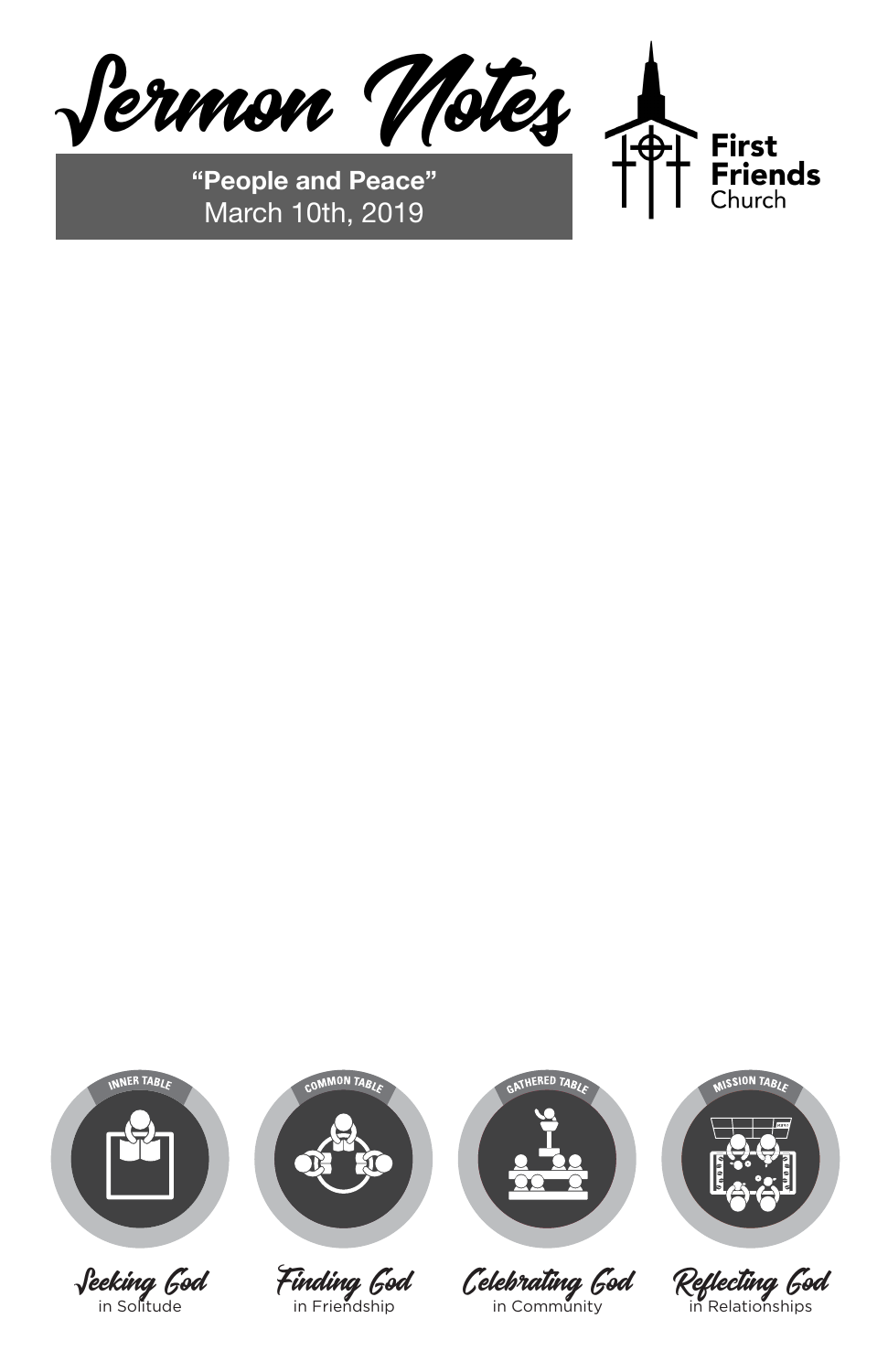

Finding God in Friendship



Celebrating God